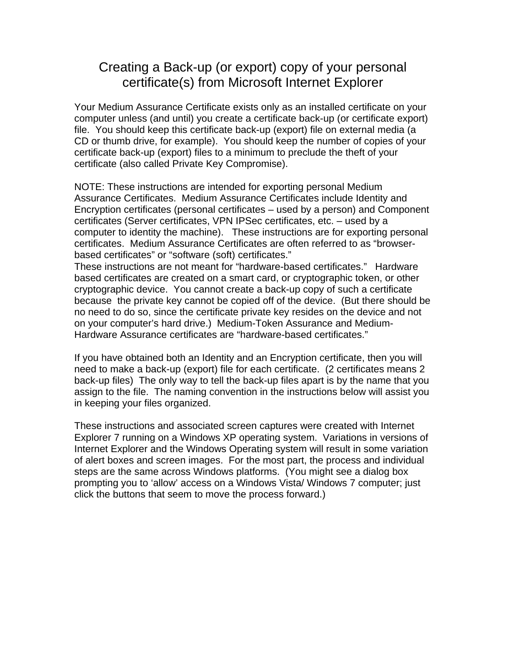## Creating a Back-up (or export) copy of your personal certificate(s) from Microsoft Internet Explorer

Your Medium Assurance Certificate exists only as an installed certificate on your computer unless (and until) you create a certificate back-up (or certificate export) file. You should keep this certificate back-up (export) file on external media (a CD or thumb drive, for example). You should keep the number of copies of your certificate back-up (export) files to a minimum to preclude the theft of your certificate (also called Private Key Compromise).

NOTE: These instructions are intended for exporting personal Medium Assurance Certificates. Medium Assurance Certificates include Identity and Encryption certificates (personal certificates – used by a person) and Component certificates (Server certificates, VPN IPSec certificates, etc. – used by a computer to identity the machine). These instructions are for exporting personal certificates. Medium Assurance Certificates are often referred to as "browserbased certificates" or "software (soft) certificates."

These instructions are not meant for "hardware-based certificates." Hardware based certificates are created on a smart card, or cryptographic token, or other cryptographic device. You cannot create a back-up copy of such a certificate because the private key cannot be copied off of the device. (But there should be no need to do so, since the certificate private key resides on the device and not on your computer's hard drive.) Medium-Token Assurance and Medium-Hardware Assurance certificates are "hardware-based certificates."

If you have obtained both an Identity and an Encryption certificate, then you will need to make a back-up (export) file for each certificate. (2 certificates means 2 back-up files) The only way to tell the back-up files apart is by the name that you assign to the file. The naming convention in the instructions below will assist you in keeping your files organized.

These instructions and associated screen captures were created with Internet Explorer 7 running on a Windows XP operating system. Variations in versions of Internet Explorer and the Windows Operating system will result in some variation of alert boxes and screen images. For the most part, the process and individual steps are the same across Windows platforms. (You might see a dialog box prompting you to 'allow' access on a Windows Vista/ Windows 7 computer; just click the buttons that seem to move the process forward.)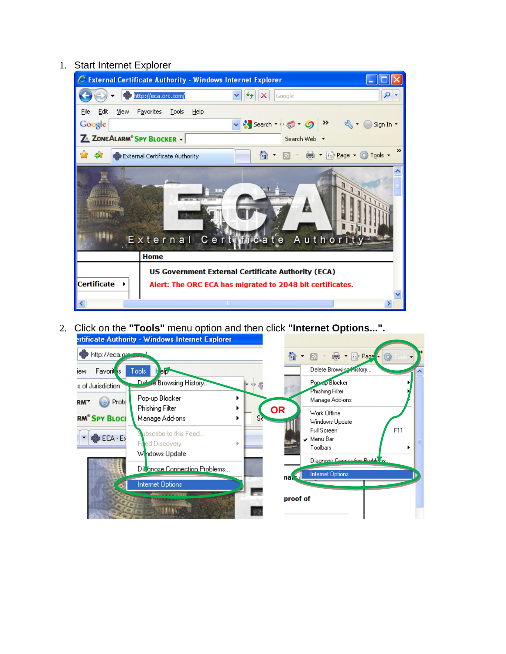## 1. Start Internet Explorer



2. Click on the **"Tools"** menu option and then click **"Internet Options...".** ertificate Authority - Windows Internet Explorer

| http://eca.org.com              |                                                          | ∕∩<br>- ● 『A Page <mark>・</mark><br>Ö.                           |
|---------------------------------|----------------------------------------------------------|------------------------------------------------------------------|
| Favorit <sub>s</sub><br>iew     | Tools<br><b>BID</b><br>н                                 | Delete Browsing History                                          |
| is of Jurisdiction              | <b>Delate Browsing History</b>                           | Pop-ap Blocker<br>Phishing Filter                                |
| Prote<br>RM <sup>-</sup>        | Pop-up Blocker                                           | Manage Add-ons                                                   |
| <b>RM<sup>®</sup> SPY BLOCI</b> | Phishing Filter<br>Manage Add-ons<br>S۲                  | <b>OR</b><br>Work Offline<br>Windows Update                      |
| $ECA - EY$                      | ubscribe to this Feed<br>Feed Discovery<br>Whdows Update | F11<br>Full Screen<br>$\vee$ Menu Bar<br>Toolbars                |
|                                 | Disgnose Connection Problems                             | Diagnose Connection Problems<br><b>Internet Options</b><br>na. S |
|                                 | Internet Options<br><b>DON'T KAYS</b>                    | proof of                                                         |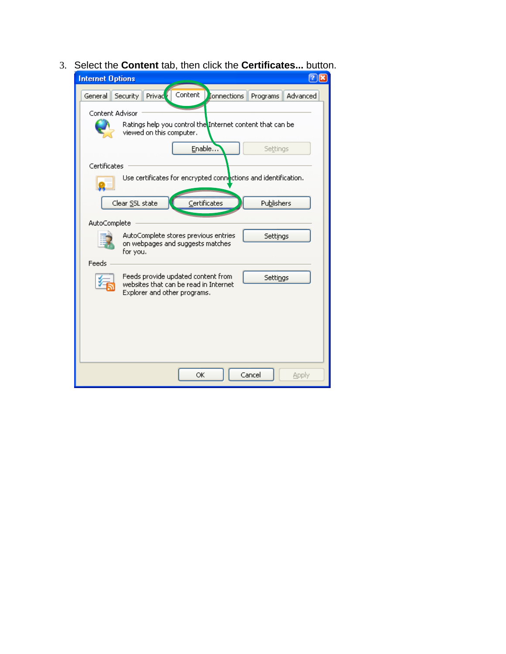3. Select the **Content** tab, then click the **Certificates...** button.

| <b>Internet Options</b>                                                                                                          |
|----------------------------------------------------------------------------------------------------------------------------------|
| Content<br>Privad <sup>6</sup><br><b>I</b> onnections<br>Advanced<br>General<br>Security<br>Programs                             |
| Content Advisor<br>Ratings help you control the Internet content that can be<br>viewed on this computer.                         |
| Enable<br>Settings                                                                                                               |
| Certificates<br>Use certificates for encrypted connections and identification.                                                   |
| Certificates<br>Clear SSL state<br>Publishers                                                                                    |
| AutoComplete                                                                                                                     |
| AutoComplete stores previous entries<br>Settings<br>on webpages and suggests matches<br>for you.                                 |
| Feeds<br>Feeds provide updated content from<br>Settings<br>websites that can be read in Internet<br>Explorer and other programs. |
|                                                                                                                                  |
| Cancel<br>ОK<br>Apply                                                                                                            |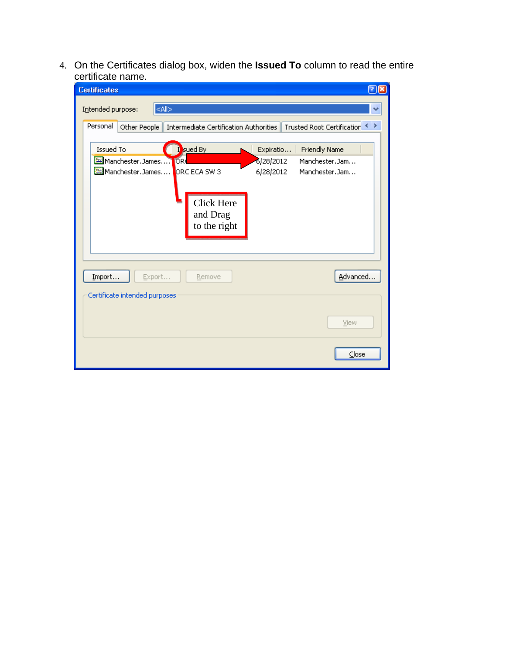4. On the Certificates dialog box, widen the **Issued To** column to read the entire certificate name.

| ⊘⊠<br><b>Certificates</b>                                                                                                                                                                                                                                                                                                                                      |  |
|----------------------------------------------------------------------------------------------------------------------------------------------------------------------------------------------------------------------------------------------------------------------------------------------------------------------------------------------------------------|--|
| $<$ All $>$<br>Intended purpose:                                                                                                                                                                                                                                                                                                                               |  |
| Personal<br>Trusted Root Certification<br>Other People<br>Intermediate Certification Authorities<br>≯<br>∢<br>I sued By<br>Issued To<br><b>Friendly Name</b><br>Expiratio<br>Manchester, James<br><b>OR</b><br>6/28/2012<br>Manchester.Jam<br>Manchester.James<br>ORC ECA SW 3<br>6/28/2012<br>Manchester.Jam<br><b>Click Here</b><br>and Drag<br>to the right |  |
| Import<br>Advanced<br>Export<br>Remove<br>Certificate intended purposes<br>View                                                                                                                                                                                                                                                                                |  |
| Close                                                                                                                                                                                                                                                                                                                                                          |  |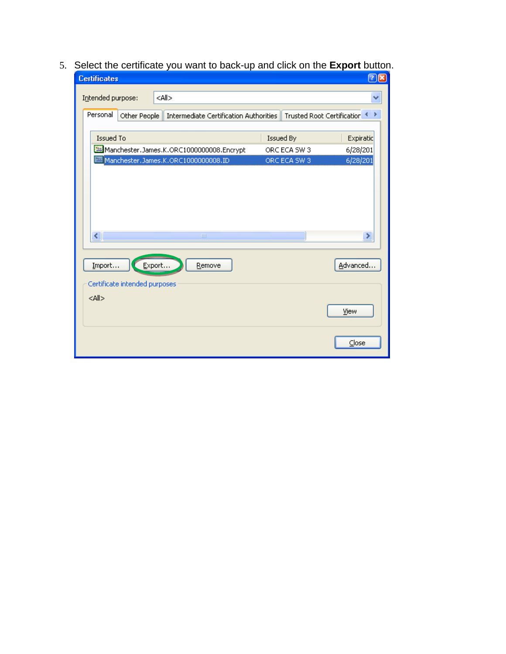5. Select the certificate you want to back-up and click on the **Export** button.

| <b>Certificates</b>                     |                                                                                      |                              | <u> ଅ⊠</u>           |
|-----------------------------------------|--------------------------------------------------------------------------------------|------------------------------|----------------------|
| Intended purpose:                       | <all></all>                                                                          |                              |                      |
| Personal                                | Other People   Intermediate Certification Authorities   Trusted Root Certification < |                              |                      |
| Issued To                               |                                                                                      | Issued By                    | Expiratic            |
|                                         | Manchester.James.K.ORC1000000008.Encrypt<br>Manchester.James.K.ORC10000000008.ID     | ORC ECA SW 3<br>ORC ECA SW 3 | 6/28/201<br>6/28/201 |
| ◁                                       | Ш                                                                                    |                              | ×                    |
| Import<br>Certificate intended purposes | Export<br>Remove                                                                     |                              | Advanced             |
| $<$ All $>$                             |                                                                                      |                              | View                 |
|                                         |                                                                                      |                              | Close                |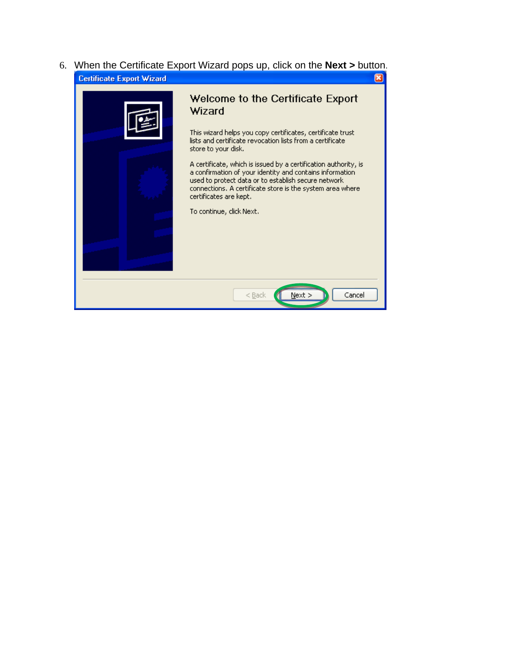6. When the Certificate Export Wizard pops up, click on the **Next >** button. **Certificate Export Wizard**  $\overline{\mathbf{x}}$ 

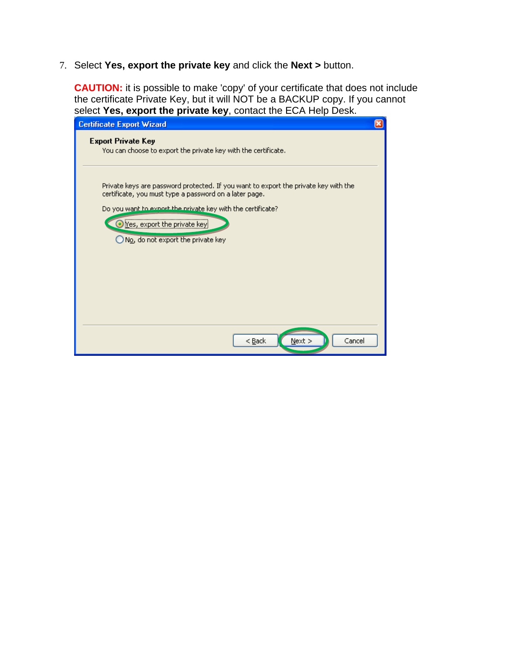7. Select **Yes, export the private key** and click the **Next >** button.

**CAUTION:** it is possible to make 'copy' of your certificate that does not include the certificate Private Key, but it will NOT be a BACKUP copy. If you cannot select **Yes, export the private key**, contact the ECA Help Desk.

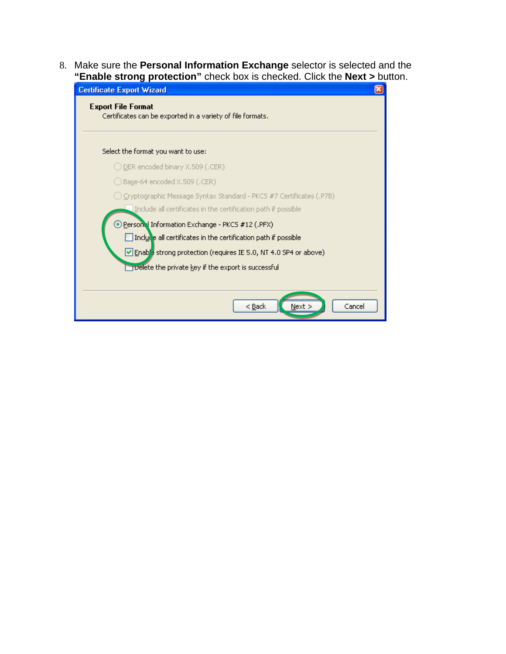8. Make sure the **Personal Information Exchange** selector is selected and the **"Enable strong protection"** check box is checked. Click the **Next >** button.

| <b>Certificate Export Wizard</b>                                                        |  |  |
|-----------------------------------------------------------------------------------------|--|--|
| <b>Export File Format</b><br>Certificates can be exported in a variety of file formats. |  |  |
| Select the format you want to use:                                                      |  |  |
| ◯ DER encoded binary X.509 (.CER)                                                       |  |  |
| $\bigcirc$ Base-64 encoded X.509 (.CER)                                                 |  |  |
| ◯ Cryptographic Message Syntax Standard - PKCS #7 Certificates (.P7B)                   |  |  |
| Include all certificates in the certification path if possible                          |  |  |
| Person Information Exchange - PKCS #12 (.PFX)                                           |  |  |
| Include all certificates in the certification path if possible                          |  |  |
| Enable strong protection (requires IE 5.0, NT 4.0 SP4 or above)                         |  |  |
| Delete the private key if the export is successful                                      |  |  |
|                                                                                         |  |  |
| < <u>B</u> ack<br>Cancel<br>Next >                                                      |  |  |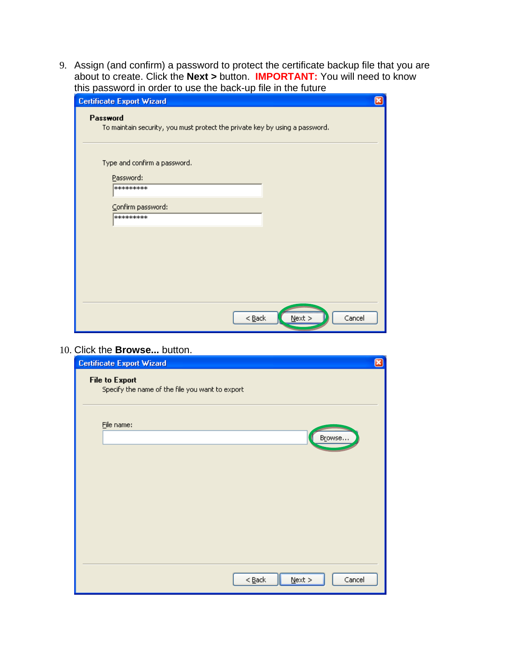9. Assign (and confirm) a password to protect the certificate backup file that you are about to create. Click the **Next >** button. **IMPORTANT:** You will need to know this password in order to use the back-up file in the future

| <b>Certificate Export Wizard</b>                                                        | × |
|-----------------------------------------------------------------------------------------|---|
| Password<br>To maintain security, you must protect the private key by using a password. |   |
| Type and confirm a password.                                                            |   |
| Password:<br>*********                                                                  |   |
| Confirm password:<br>*********                                                          |   |
|                                                                                         |   |
|                                                                                         |   |
|                                                                                         |   |
| $<$ Back<br>Cancel<br>$N$ ext >                                                         |   |

10. Click the **Browse...** button.

| <b>Certificate Export Wizard</b>                                         | ⊠ |
|--------------------------------------------------------------------------|---|
| <b>File to Export</b><br>Specify the name of the file you want to export |   |
| Eile name:<br>Browse                                                     |   |
|                                                                          |   |
|                                                                          |   |
|                                                                          |   |
|                                                                          |   |
| Cancel<br>$N$ ext ><br>$<$ Back                                          |   |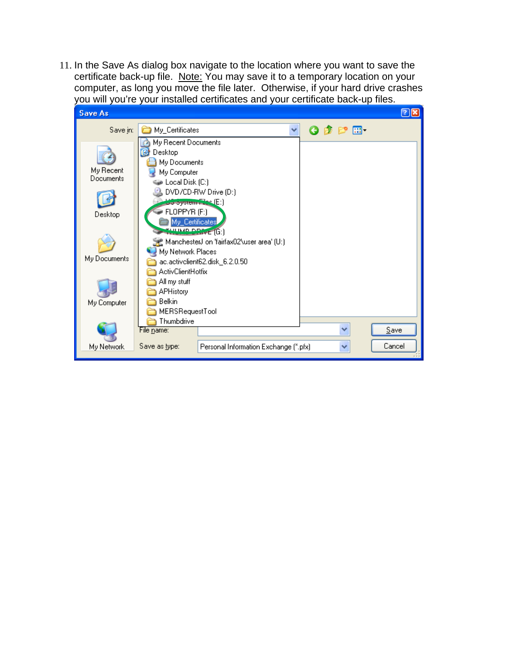11. In the Save As dialog box navigate to the location where you want to save the certificate back-up file. Note: You may save it to a temporary location on your computer, as long you move the file later. Otherwise, if your hard drive crashes you will you're your installed certificates and your certificate back-up files.

| <b>Save As</b>         |                                                                                                                                  | $ 2  \mathbf{x} $ |
|------------------------|----------------------------------------------------------------------------------------------------------------------------------|-------------------|
| Save in:               | $O$ $D$ $P$ $\Pi$<br>My_Certificates<br>v                                                                                        |                   |
| My Recent<br>Documents | My Recent Documents<br>Desktop<br>My Documents<br>My Computer<br>Local Disk (C:)<br>DVD/CD-RW Drive (D:)<br>do oystem [ [s] (E:) |                   |
| Desktop                | FLOPPYR (F:)<br>My_Certificates<br><b>FLILLIAD DEIVE (G:)</b>                                                                    |                   |
| My Documents           | ManchesterJ on 'fairfax02\user area' (U:)<br>My Network Places<br>ac.activclient62.disk_6.2.0.50<br><b>ActivClientHotfix</b>     |                   |
| My Computer            | All my stuff<br><b>APHistory</b><br>Belkin<br>MERSRequestTool                                                                    |                   |
|                        | Thumbdrive<br>v<br>File name:                                                                                                    | Save              |
| My Network             | Save as type:<br>Personal Information Exchange (*.pfx)<br>v                                                                      | Cancel            |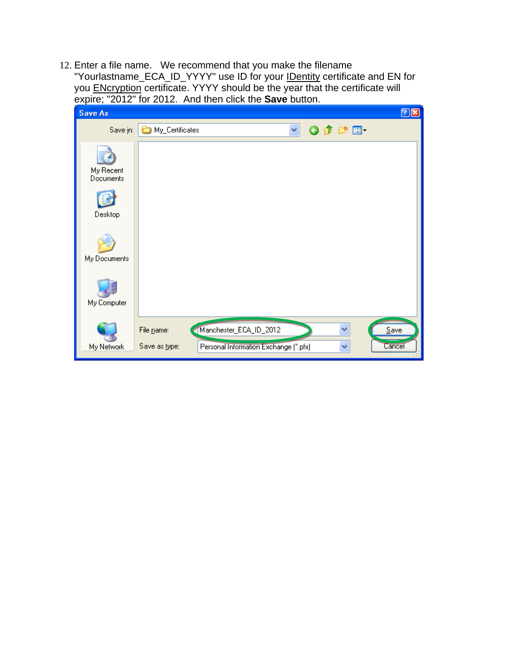12. Enter a file name. We recommend that you make the filename "Yourlastname\_ECA\_ID\_YYYY" use ID for your **IDentity certificate and EN for** you ENcryption certificate. YYYY should be the year that the certificate will expire; "2012" for 2012. And then click the **Save** button.

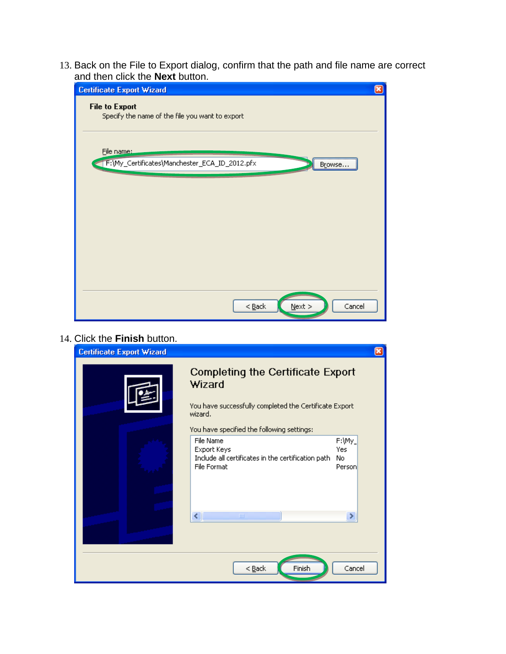13. Back on the File to Export dialog, confirm that the path and file name are correct and then click the **Next** button.



| 14. Click the Finish button.     |                                                                                                                                                                       |                                |
|----------------------------------|-----------------------------------------------------------------------------------------------------------------------------------------------------------------------|--------------------------------|
| <b>Certificate Export Wizard</b> |                                                                                                                                                                       | ×                              |
|                                  | <b>Completing the Certificate Export</b><br>Wizard<br>You have successfully completed the Certificate Export<br>wizard.<br>You have specified the following settings: |                                |
|                                  | File Name<br>Export Keys<br>Include all certificates in the certification path<br>File Format                                                                         | F:\My_<br>Yes<br>No.<br>Person |
|                                  | $\overline{\left( \cdot \right)}$<br>$\mathbf{m}$                                                                                                                     | ≯                              |
|                                  | Finish<br>$<$ Back                                                                                                                                                    | Cancel                         |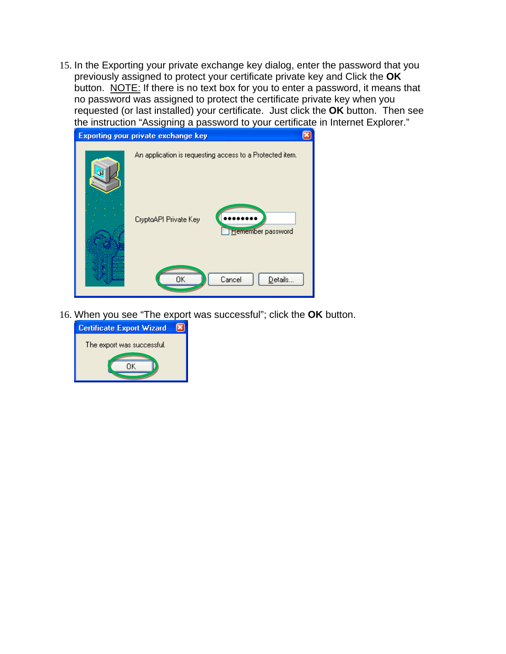15. In the Exporting your private exchange key dialog, enter the password that you previously assigned to protect your certificate private key and Click the **OK** button. NOTE: If there is no text box for you to enter a password, it means that no password was assigned to protect the certificate private key when you requested (or last installed) your certificate. Just click the **OK** button. Then see the instruction "Assigning a password to your certificate in Internet Explorer."

| <b>Exporting your private exchange key</b>                                                                    |  |
|---------------------------------------------------------------------------------------------------------------|--|
| An application is requesting access to a Protected item.<br>CryptoAPI Private Key<br><b>Hemember</b> password |  |
| Cancel<br>Details                                                                                             |  |

16. When you see "The export was successful"; click the **OK** button.

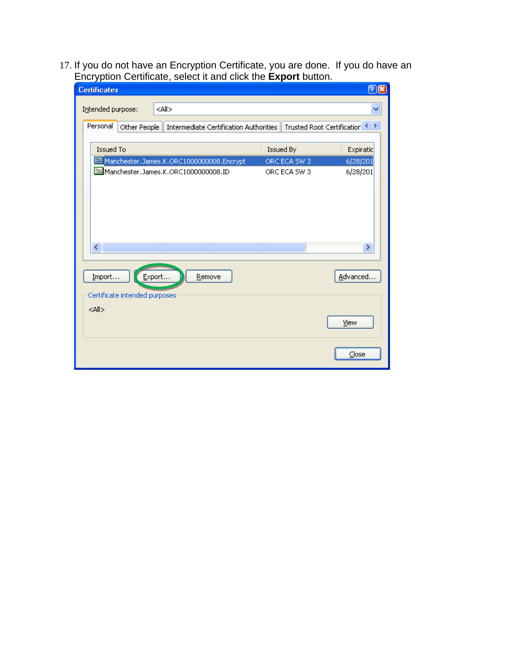17. If you do not have an Encryption Certificate, you are done. If you do have an Encryption Certificate, select it and click the **Export** button.

| ∸<br><b>Certificates</b>                |                                                       |              | $\boxed{?[x]}$               |
|-----------------------------------------|-------------------------------------------------------|--------------|------------------------------|
| Intended purpose:                       | <all></all>                                           |              |                              |
| Personal                                | Other People   Intermediate Certification Authorities |              | Trusted Root Certification < |
| Issued To                               |                                                       | Issued By    | Expiratic                    |
|                                         | Manchester.James.K.ORC1000000008.Encrypt              | ORC ECA SW 3 | 6/28/201                     |
|                                         | Manchester.James.K.ORC1000000008.ID                   | ORC ECA SW 3 | 6/28/201                     |
| ∢                                       | $\rm{HII}$                                            |              | ×                            |
| Import<br>Certificate intended purposes | Export<br>Remove                                      |              | Advanced                     |
| $<$ All $>$                             |                                                       |              | View                         |
|                                         |                                                       |              | $C$ lose                     |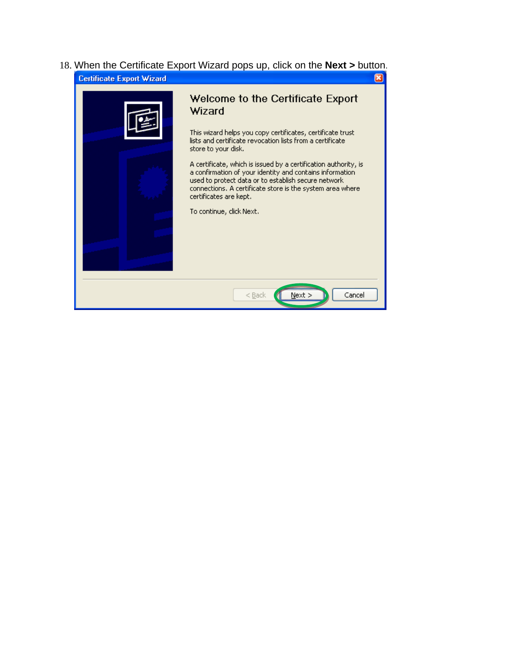18. When the Certificate Export Wizard pops up, click on the **Next >** button. **Certificate Export Wizard**  $\overline{\mathbf{x}}$ 

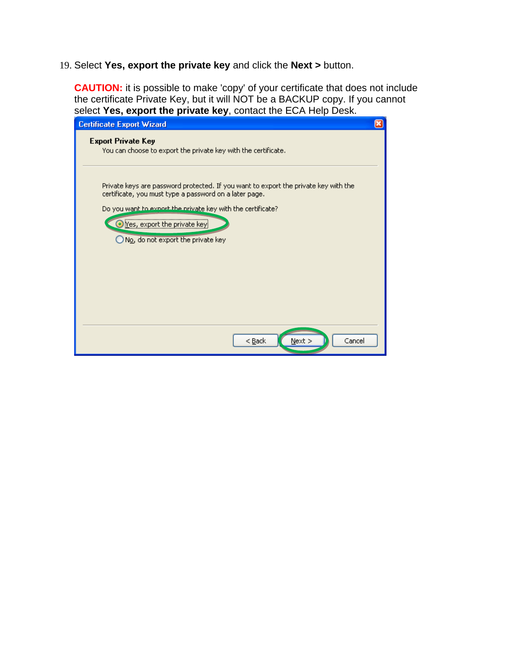19. Select **Yes, export the private key** and click the **Next >** button.

**CAUTION:** it is possible to make 'copy' of your certificate that does not include the certificate Private Key, but it will NOT be a BACKUP copy. If you cannot select **Yes, export the private key**, contact the ECA Help Desk.

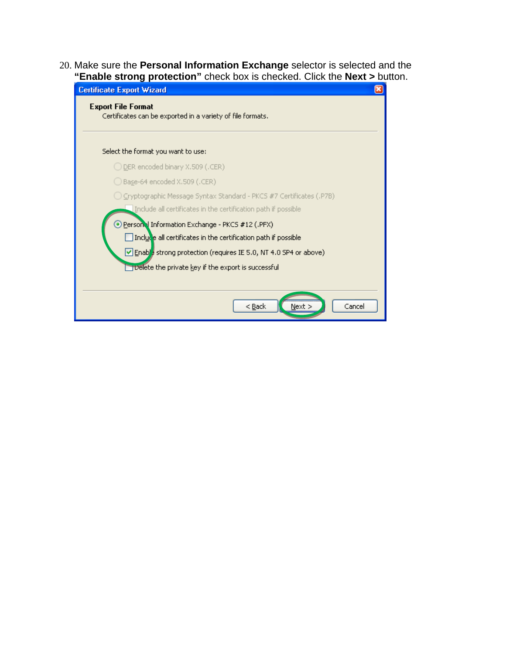20. Make sure the **Personal Information Exchange** selector is selected and the **"Enable strong protection"** check box is checked. Click the **Next >** button.

| <b>Certificate Export Wizard</b>                                                        |  |  |
|-----------------------------------------------------------------------------------------|--|--|
| <b>Export File Format</b><br>Certificates can be exported in a variety of file formats. |  |  |
| Select the format you want to use:                                                      |  |  |
| ◯ DER encoded binary X.509 (.CER)                                                       |  |  |
| $\bigcirc$ Base-64 encoded X.509 (.CER)                                                 |  |  |
| ◯ Cryptographic Message Syntax Standard - PKCS #7 Certificates (.P7B)                   |  |  |
| Include all certificates in the certification path if possible                          |  |  |
| Person Information Exchange - PKCS #12 (.PFX)                                           |  |  |
| Include all certificates in the certification path if possible                          |  |  |
| Enable strong protection (requires IE 5.0, NT 4.0 SP4 or above)                         |  |  |
| <b>Delete the private key if the export is successful</b>                               |  |  |
|                                                                                         |  |  |
| Cancel<br>< <u>B</u> ack<br>Next >                                                      |  |  |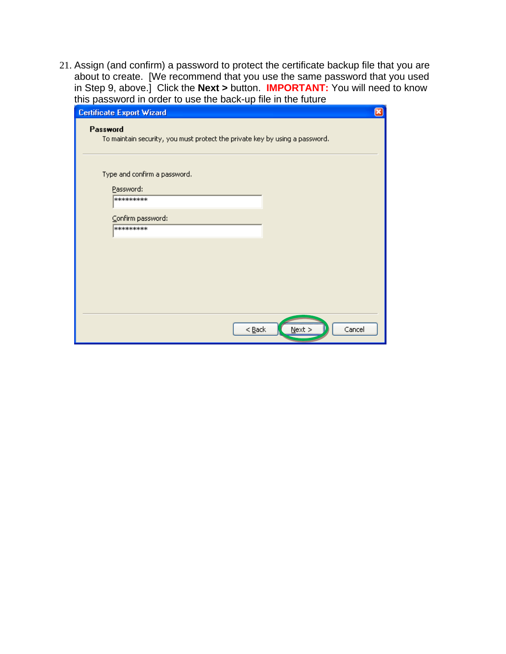21. Assign (and confirm) a password to protect the certificate backup file that you are about to create. [We recommend that you use the same password that you used in Step 9, above.] Click the **Next >** button. **IMPORTANT:** You will need to know this password in order to use the back-up file in the future

| <b>Certificate Export Wizard</b>                                                        |
|-----------------------------------------------------------------------------------------|
| Password<br>To maintain security, you must protect the private key by using a password. |
| Type and confirm a password.                                                            |
| Password:<br>*********                                                                  |
|                                                                                         |
| Confirm password:                                                                       |
| ********                                                                                |
|                                                                                         |
|                                                                                         |
|                                                                                         |
|                                                                                         |
|                                                                                         |
|                                                                                         |
| Cancel<br>$<$ Back<br>$N$ ext >                                                         |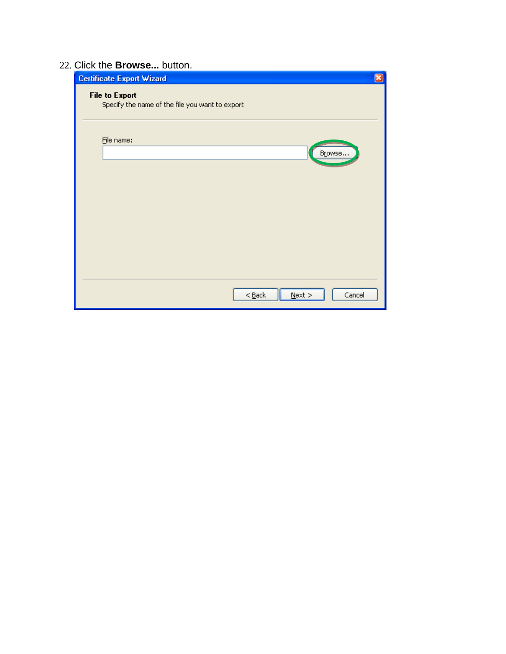## 22. Click the **Browse...** button.

| <b>Certificate Export Wizard</b>                                         | $\left[\overline{\mathbf{x}}\right]$ |
|--------------------------------------------------------------------------|--------------------------------------|
| <b>File to Export</b><br>Specify the name of the file you want to export |                                      |
| File name:<br>Browse                                                     |                                      |
|                                                                          |                                      |
|                                                                          |                                      |
| $N$ ext ><br>Cancel<br>$<$ Back                                          |                                      |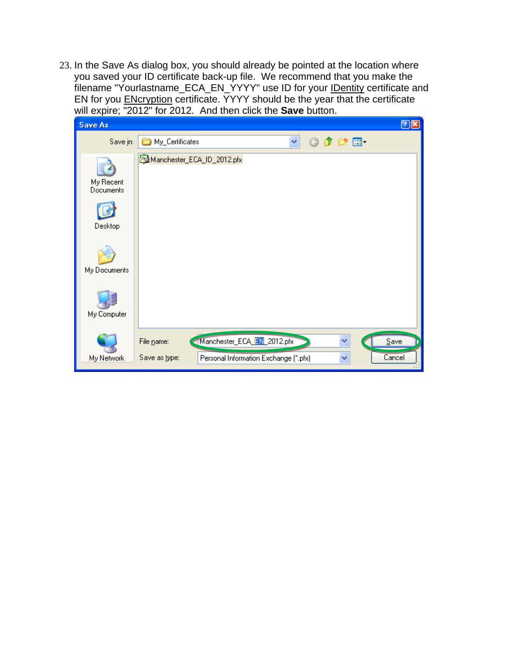23. In the Save As dialog box, you should already be pointed at the location where you saved your ID certificate back-up file. We recommend that you make the filename "Yourlastname\_ECA\_EN\_YYYY" use ID for your IDentity certificate and EN for you **ENcryption** certificate. YYYY should be the year that the certificate will expire; "2012" for 2012. And then click the **Save** button.

| <b>Save As</b>         |                                                                       | 28 |
|------------------------|-----------------------------------------------------------------------|----|
| Save in:               | Y<br>$0$ $0$ $0$ $10$<br>My_Certificates                              |    |
| My Recent<br>Documents | Manchester_ECA_ID_2012.pfx                                            |    |
| Desktop                |                                                                       |    |
| My Documents           |                                                                       |    |
| My Computer            |                                                                       |    |
|                        | Manchester_ECA_EN_2012.pfx<br>Save<br>٧<br>File name:                 |    |
| My Network             | Cancel<br>Save as type:<br>Personal Information Exchange (*.pfx)<br>× |    |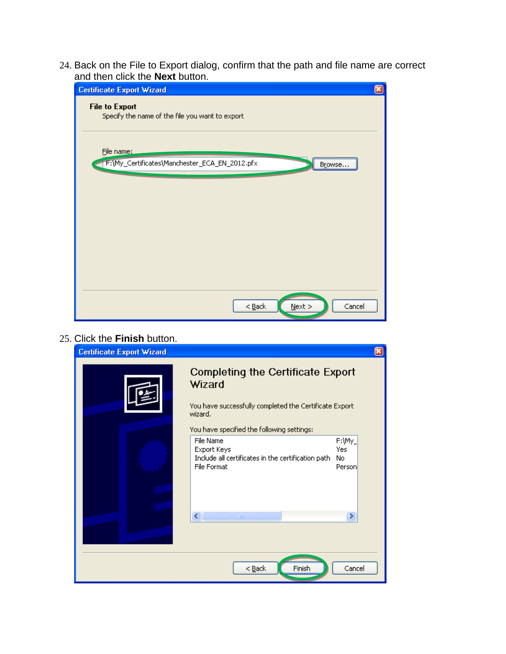24. Back on the File to Export dialog, confirm that the path and file name are correct and then click the **Next** button.



| 25. Click the Finish button.     |                                                                                                                                                                       |                                |
|----------------------------------|-----------------------------------------------------------------------------------------------------------------------------------------------------------------------|--------------------------------|
| <b>Certificate Export Wizard</b> |                                                                                                                                                                       | ⊠                              |
|                                  | <b>Completing the Certificate Export</b><br>Wizard<br>You have successfully completed the Certificate Export<br>wizard.<br>You have specified the following settings: |                                |
|                                  | File Name<br>Export Keys<br>Include all certificates in the certification path<br>File Format                                                                         | F:\My_<br>Yes<br>No.<br>Person |
|                                  | ≮∣<br><b>TITL</b>                                                                                                                                                     |                                |
|                                  | Finish<br>$<$ Back                                                                                                                                                    | Cancel                         |